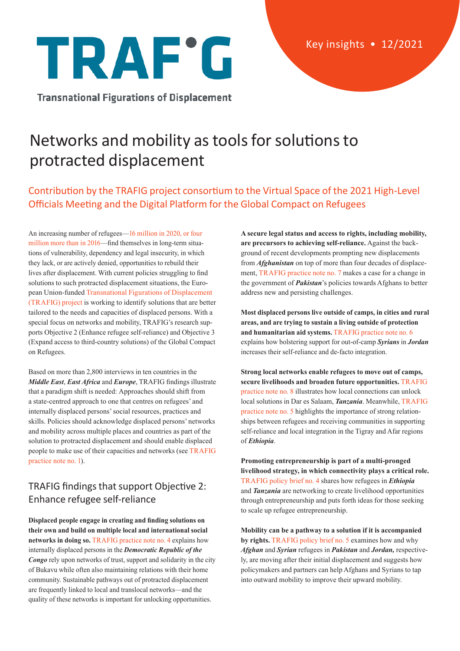

**Transnational Figurations of Displacement** 

# Networks and mobility as tools for solutions to protracted displacement

# Contribution by the TRAFIG project consortium to the Virtual Space of the 2021 High-Level Officials Meeting and the Digital Platform for the Global Compact on Refugees

An increasing number of refugees—[16 million in 2020, or four](https://www.unhcr.org/global-compact-refugees-indicator-report/)  [million more than in 2016](https://www.unhcr.org/global-compact-refugees-indicator-report/)—find themselves in long-term situations of vulnerability, dependency and legal insecurity, in which they lack, or are actively denied, opportunities to rebuild their lives after displacement. With current policies struggling to find solutions to such protracted displacement situations, the European Union-funded [Transnational Figurations of Displacement](https://trafig.eu/)  [\(TRAFIG\) project](https://trafig.eu/) is working to identify solutions that are better tailored to the needs and capacities of displaced persons. With a special focus on networks and mobility, TRAFIG's research supports Objective 2 (Enhance refugee self-reliance) and Objective 3 (Expand access to third-country solutions) of the Global Compact on Refugees.

Based on more than 2,800 interviews in ten countries in the *Middle East*, *East Africa* and *Europe*, TRAFIG findings illustrate that a paradigm shift is needed: Approaches should shift from a state-centred approach to one that centres on refugees' and internally displaced persons' social resources, practices and skills. Policies should acknowledge displaced persons' networks and mobility across multiple places and countries as part of the solution to protracted displacement and should enable displaced people to make use of their capacities and networks (see [TRAFIG](https://trafig.eu/output/practice-notes/exploring-new-solutions)  [practice note no. 1\)](https://trafig.eu/output/practice-notes/exploring-new-solutions).

## TRAFIG findings that support Objective 2: Enhance refugee self-reliance

**Displaced people engage in creating and finding solutions on their own and build on multiple local and international social networks in doing so.** [TRAFIG practice note no. 4 e](https://trafig.eu/output/practice-notes/trafig-practice-note-no-4)xplains how internally displaced persons in the *Democratic Republic of the Congo* rely upon networks of trust, support and solidarity in the city of Bukavu while often also maintaining relations with their home community. Sustainable pathways out of protracted displacement are frequently linked to local and translocal networks—and the quality of these networks is important for unlocking opportunities.

**A secure legal status and access to rights, including mobility, are precursors to achieving self-reliance.** Against the background of recent developments prompting new displacements from *Afghanistan* on top of more than four decades of displacement, [TRAFIG practice note no. 7](https://trafig.eu/output/practice-notes/practice-note-no-7) makes a case for a change in the government of *Pakistan*'s policies towards Afghans to better address new and persisting challenges.

**Most displaced persons live outside of camps, in cities and rural areas, and are trying to sustain a living outside of protection and humanitarian aid systems.** [TRAFIG practice note no. 6](https://trafig.eu/output/practice-notes/trafig-practice-note-no-6) explains how bolstering support for out-of-camp *Syrians* in *Jordan*  increases their self-reliance and de-facto integration.

**Strong local networks enable refugees to move out of camps, secure livelihoods and broaden future opportunities.** [TRAFIG](https://trafig.eu/output/practice-notes/trafig-practice-note-no-8)  [practice note no. 8](https://trafig.eu/output/practice-notes/trafig-practice-note-no-8) illustrates how local connections can unlock local solutions in Dar es Salaam, *Tanzania*. Meanwhile, [TRAFIG](https://trafig.eu/output/practice-notes/trafig-practice-note-no-5)  [practice note no. 5](https://trafig.eu/output/practice-notes/trafig-practice-note-no-5) highlights the importance of strong relationships between refugees and receiving communities in supporting self-reliance and local integration in the Tigray and Afar regions of *Ethiopia*.

**Promoting entrepreneurship is part of a multi-pronged livelihood strategy, in which connectivity plays a critical role.**  [TRAFIG policy brief no. 4 s](https://trafig.eu/output/policy-briefs/policy-brief-no-4)hares how refugees in *Ethiopia* and *Tanzania* are networking to create livelihood opportunities through entrepreneurship and puts forth ideas for those seeking to scale up refugee entrepreneurship.

**Mobility can be a pathway to a solution if it is accompanied by rights.** [TRAFIG policy brief no. 5](https://trafig.eu/output/policy-briefs/policy-brief-no-5) examines how and why *Afghan* and *Syrian* refugees in *Pakistan* and *Jordan,* respectively, are moving after their initial displacement and suggests how policymakers and partners can help Afghans and Syrians to tap into outward mobility to improve their upward mobility.